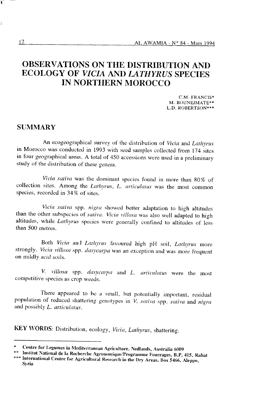# OBSERVATIONS ON THE DISTRIBUTION AND **ECOLOGY OF VICIA AND LATHYRUS SPECIES IN NORTHERN MOROCCO**

C.M. FRANCIS\* M. BOUNEJMATE\*\* L.D. ROBERTSON\*\*\*

# **SUMMARY**

An ecogeographical survey of the distribution of Vicia and Lathyrus in Morocco was conducted in 1993 with seed samples collected from 174 sites in four geographical areas. A total of 450 accessions were used in a preliminary study of the distribution of these genera.

Vicia sativa was the dominant species found in more than 80% of collection sites. Among the Lathyrus, L. articulatus was the most common species, recorded in 34% of sites.

Vicia sativa spp. nigra showed better adaptation to high altitudes than the other subspecies of sativa. Vicia villosa was also well adapted to high altitudes, while Lathyrus species were generally confined to altitudes of less than 500 metres.

Both Vicia and Lathyrus favoured high pH soil, Lathyrus more strongly. Vicia villosa spp. dasycarpa was an exception and was more frequent on mildly acid soils.

V. villosa spp. dasycarpa and L. articulatus were the most competitive species as crop weeds.

There appeared to be a small, but potentially important, residual population of reduced shattering genotypes in V. sativa spp. sativa and nigra and possibly L. articulatus.

KEY WORDS: Distribution, ecology, Vicia, Lathyrus, shattering.

ī

Centre for Legumes in Mediterranean Agriculture, Nedlands, Australia 6009

Institut National de la Recherche Agronomique/Programme Fourrages, B.P. 415, Rabat \*\*\* International Centre for Agricultural Research in the Dry Areas, Box 5466, Aleppo, **Syria**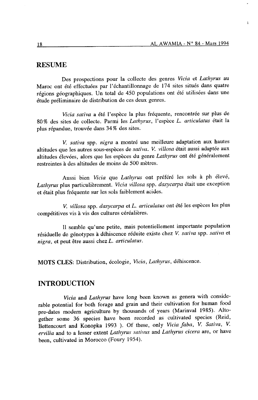í.

#### **RESUME**

Des prospections pour la collecte des genres Vicia et Lathyrus au Maroc ont été effectuées par l'échantillonnage de 174 sites situés dans quatre régions géographiques. Un total de 450 populations ont été utilisées dans une étude préliminaire de distribution de ces deux genres.

Vicia sativa a été I'espèce la plus fréquente, rencontrée sur plus de 80% des sites de collecte. Parmi les Lathyrus, l'espèce L. articulatus était la plus répandue, trouvée dans34% des sites.

V. sativa spp. nigra a montré une meilleure adaptation aux hautes altitudes que les autres sous-espèces de sativa. V. villosa était aussi adaptée aux altitudes élevées, alors que les espèces du genre Lathyrus ont été généralement restreintes à des altitudes de moins de 500 mètres.

Aussi bien Vicia que Lathyrus ont préféré les sols à ph élevé, Lathyrus plus particulièrement. Vicia villosa spp. dasycarpa était une exception et était plus fréquente sur les sols faiblement acides.

v. villosa spp. dasycarpa et L. articulatus ont été les espèces les plus compétitives vis à vis des cultures céréalières.

Il semble qu'une petite, mais potentiellement importante population résiduelle de génotypes à déhiscence réduite existe chez V. sativa spp. sativa et nigra, et peut être aussi chez L. articulatus.

MOTS CLES: Distribution, écologie, Vicia, Lathyrus, déhiscence.

# INTRODUCTION

Vicia and Lathyrus have long been known as genera with considerable potential for both forage and grain and their cultivation for human food pre-dates modern agriculture by thousands of years (Marinval 1985). Altogether some 36 species have been recorded as cultivated species (Reid, Bettencourt and Konopka 1993 ). Of these, only Vicia faba, V. Sativa, V. ervilia and to a lesser extent Lathyrus sativus and Lathyrus cicera are, or have been, cultivated in Morocco (Foury 1954).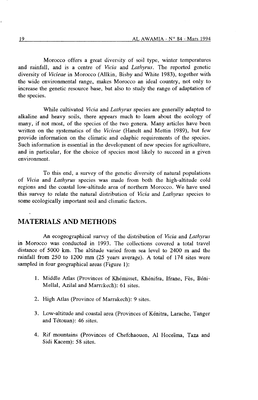Morocco offers a great diversity of soil type, winter temperatures and rainfall, and is a centre of Vicia and Lathyrus. The reported genetic diversity of *Vicieae* in Morocco (Allkin, Bisby and White 1983), together with the wide environmental range, makes Morocco an ideal country, not only to increase the genetic resource base, but also to study the range of adaptation of the species.

While cultivated Vicia and Lathyrus species are generally adapted to alkaline and heavy soils, there appears much to learn about the ecology of many, if not most, of the species of the two genera. Many articles have been written on the systematics of the Vicieae (Hanelt and Mettin 1989), but few provide information on the climatic and edaphic requirements of the species. Such information is essential in the development of new species for agriculture, and in particular, for the choice of species most likely to succeed in a given environment.

To this end, a survey of the genetic diversity of natural populations of Vicia and Lathyrus species was made from both the high-altitude cold regions and the coastal low-altitude area of northern Morocco. We have used this survey to relate the natural distribution of Vicia and Lathyrus species to some ecologically important soil and climatic factors.

# MATERIALS AND METHODS

An ecogeographical survey of the distribution of Vicia and Lathyrus in Morocco was conducted in 1993. The collections covered a total travel distance of 5000 km. The altitude varied from sea level to 24OO m and the rainfall from 250 to 1200 mm (25 years average). A total of 114 sites were sampled in four geographical areas (Figure 1):

- 1. Middle Atlas (Provinces of Khémisset, Khénifra, Ifrane, Fès, Béni-Mellal, Azilal and Marrakech): 61 sites.
- 2. High Atlas (Province of Marrakech): 9 sites.
- 3. Low-altitude and coastal area (Provinces of Kénitra, Larache, Tanger and Tétouan): 46 sites.
- 4. Rif mountains (Provinces of Chefchaouen, Al Hoceïma, Taza and Sidi Kacem): 58 sites.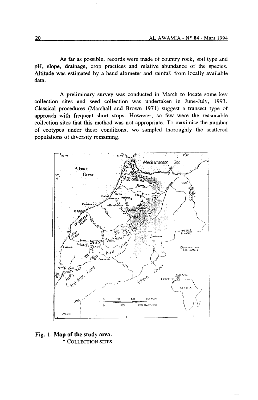As far as possible, records were made of country rock, soil type and pH, slope, drainage, crop practices and relative abundance of the species. Altitude was estimated by a hand altimeter and rainfall from locally available data.

A preliminary survey was conducted in March to locate some key collection sites and seed collection was undertaken in June-July, 1993. Classical procedures (Marshall and Brown 1971) suggest a transect type of approach with frequent short stops. However, so few were the reasonable collection sites that this method was not appropriate. To maximise the number of ecotypes under these conditions, we sampled thoroughly the scattered populations of diversity remaining.



Fig. 1. Map of the study area. • COLLECTION SITES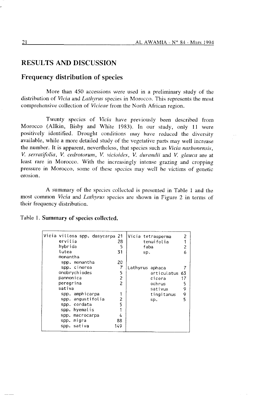# **RESULTS AND DISCUSSION**

### Frequency distribution of species

More than 450 accessions were used in a preliminary study of the distribution of Vicia and Lathyrus species in Morocco. This represents the most comprehensive collection of Vicieae from the North African region.

Twenty species of *Vicia* have previously been described from Morocco (Allkin, Bisby and White 1983). In our study, only 11 were positively identified. Drought conditions may have reduced the diversity available, while a more detailed study of the vegetative parts may well increase the number. It is apparent, nevertheless, that species such as *Vicia narbonensis*. V. serratifolia, V. cedrotorum, V. vicioides, V. durandii and V. glauca are at least rare in Morocco. With the increasingly intense grazing and cropping pressure in Morocco, some of these species may well be victims of genetic erosion.

A summary of the species collected is presented in Table 1 and the most common *Vicia* and *Lathyrus* species are shown in Figure 2 in terms of their frequency distribution.

| ervilia<br>hybrida<br>lutea<br>monantha  | Vicia villosa spp. dasycarpa                                                                                                                                       | 21<br>28<br>5<br>31                                                  | sp.             | Vicia tetrasperma<br>tenuifolia<br>faba                            | 2<br>2<br>6            |
|------------------------------------------|--------------------------------------------------------------------------------------------------------------------------------------------------------------------|----------------------------------------------------------------------|-----------------|--------------------------------------------------------------------|------------------------|
| pannonica<br>peregrina<br>sativa<br>spp. | spp. monantha<br>spp. cinerea<br>onobrychiodes<br>spp. amphicarpa<br>spp. angustifolia<br>spp. cordata<br>spp. hyemalis<br>spp. macrocarpa<br>spp. nigra<br>sativa | 20<br>7<br>5<br>2<br>$\overline{c}$<br>2<br>5<br>1<br>4<br>88<br>149 | Lathyrus aphaca | articulatus 63<br>cicera<br>ochrus<br>sativus<br>tingitanus<br>sp. | 17<br>5<br>9<br>9<br>5 |

Table 1. Summary of species collected.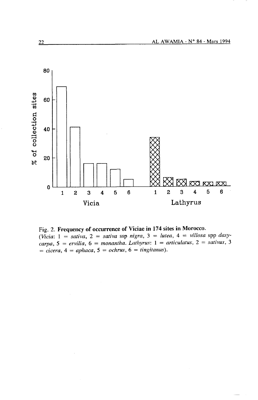

Fig. 2. Frequency of occurrence of Viciae in 174 sites in Morocco. (Vicia:  $1 =$  sativa,  $2 =$  sativa ssp nigra,  $3 =$  lutea,  $4 =$  villosa spp dasycarpa,  $5 =$  ervilia,  $6 =$  monantha. Lathyrus:  $1 =$  articulatus,  $2 =$  sativus, 3  $= cicera$ ,  $4 = aphaca$ ,  $5 = ochrus$ ,  $6 = tingitanus$ ).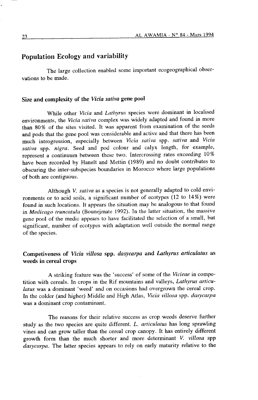#### Population Ecology and variability

The large collection enabled some important ecogeographical observations to be made.

#### Size and complexity of the Vicia sativa gene pool

While other Vicia and Lathyrus species were dominant in localised environments, the Vicia sativa complex was widely adapted and found in more than 80% of the sites visited. It was apparent from examination of the seeds and pods that the gene pool was considerable and active and that there has been much introgression, especially between Vicia sativa spp. sativa and Vicia sativa spp. nigra. Seed and pod colour and calyx length, for example, represent a continuum between these two. Intercrossing rates exceeding l0% have been recorded by Hanelt and Mettin (1989) and no doubt contributes to obscuring the inter-subspecies boundaries in Morocco where large populations of both are contiguous.

Although V. sativa as a species is not generally adapted to cold environments or to acid soils, a significant number of ecotypes (12 to 14%) were found in such locations. It appears the situation may be analogous to that found in Medicago truncatula (Bounejmate 1992). In the latter situation, the massive gene pool of the medic appears to have facilitated the selection of a small, but significant, number of ecotypes with adaptation well outside the normal range of the species.

# Competiveness of Vicia villosa spp. dasycarpa and Lathyrus articulatus as weeds in cereal crops

A striking feature was the 'success' of some of the Vicieae in competition with cereals. In crops in the Rif mountains and valleys, Lathyrus articulatus was a dominant 'weed' and on occasions had overgrown the cereal crop. In the colder (and higher) Middle and High Atlas, Vicia villosa spp. dasycarpa was a dominant crop contaminant.

The reasons for their relative success as crop weeds deserve further study as the two species are quite different.  $L$ . articulatus has long sprawling vines and can grow taller than the cereal crop canopy. It has entirely different growth form than the much shorter and more determinant V. villosa spp dasycarpa. The latter species appears to rely on early maturity relative to the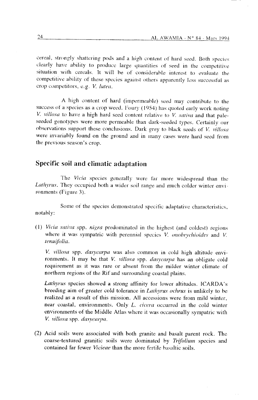cereal, strongly shattering pods and a high content of hard seed. Both species clearly have ability to produce large quantities of seed in the competitive situation with cereals. It will be of considerable interest to evaluate the competitive ability of these species against others apparently less successful as crop competitors, e.g. V. lutea.

A high content of hard (impermeable) seed may contribute to the success of a species as a crop weed. Foury (1954) has quoted early work noting V. villosa to have a high hard seed content relative to V. sativa and that paleseeded genotypes were more permeable than dark-seeded types. Certainly our observations support these conclusions. Dark grey to black seeds of V, villosa were invariably found on the ground and in many cases were hard seed from the previous season's crop.

## Specific soil and climatic adaptation

The Vicia species generally were far more widespread than the Lathyrus. They occupied both a wider soil range and much colder winter environments (Figure 3).

Some of the species demonstrated specific adaptative characteristics. notably:

(1) Vicia sativa spp. nigra predominated in the highest (and coldest) regions where it was sympatric with perennial species V. onobrychioides and V. tenuifolia.

V. villosa spp. dasycarpa was also common in cold high altitude environments. It may be that V. villosa spp. dasycarpa has an obligate cold requirement as it was rare or absent from the milder winter climate of northern regions of the Rif and surrounding coastal plains.

*Lathyrus* species showed a strong affinity for lower altitudes. ICARDA's breeding aim of greater cold tolerance in *Lathyrus ochrus* is unlikely to be realized as a result of this mission. All accessions were from mild winter. near coastal, environments. Only L. cicera occurred in the cold winter environments of the Middle Atlas where it was occasionally sympatric with V. villosa spp. dasvcarpa.

(2) Acid soils were associated with both granite and basalt parent rock. The coarse-textured granitic soils were dominated by Trifolium species and contained far fewer *Vicieae* than the more fertile basaltic soils.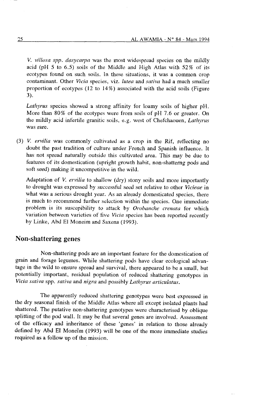V. villosa spp. dasycarpa was the most widespread species on the mildly acid (pH 5 to 6.5) soils of the Middle and High Atlas with  $52\%$  of its ecotypes found on such soils. In these situations, it was a common crop contaminant. Other Vicia species, viz. lutea and sativa had a much smaller proportion of ecotypes (12 to l4%) associated with the acid soils (Figure 3).

Lathyrus species showed a strong affinity for loamy soils of higher pH. More than 80% of the ecotypes were fiom soils of pH 7.6 or greater. On the mildly acid infertile granitic soils, e.g. west of Chefchaouen, Lathyrus was rare.

(3) V. ervilid was commonly cultivated as a crop in the Rif, reflecting no doubt the past tradition of culture under French and Spanish influence. It has not spread naturally outside this cultivated area. This may be due to features of its domestication (upright growth habit, non-shatterng pods and soft seed) making it uncompetitive in the wild.

Adaptation of V. ervilia to shallow ( $\frac{d}{dy}$ ) stony soils and more importantly to drought was expressed by successful seed set relative to other Vicieae in what was a serious drought year. As an already domesticated species, there is much to recommend further selection within the species. One immediate problem is its suscepibility to attack by Orobanche crenata for which variation between varieties of five Vicia species has been reported recently by Linke, Abd El Moneim and Saxena (1993).

### Non-shattering genes

Non-shattering pods are an important feature for the domestication of grain and forage legumes. While shattering pods have clear ecological advantage in the wild to ensure spread and survival, there appeared to be a small, but potentially important, residual population of reduced shattering genotypes in Vicia sativa spp. sativa and nigra and possibly Lathyrus articulatus.

The apparently reduced shattering genotypes were best expressed in the dry seasonal finish of the Middle Atlas where all except isolated plants hacl shattered. The putative non-shattering genotypes were characterised by oblique splitting of the pod wall. It may be that several genes are involved. Assessment of the efticacy and inheritance of these 'genes' in relation to those alreacly defined by Abd El Moneïm (1993) will be one of the more immediate studies required as a follow up of the mission.

25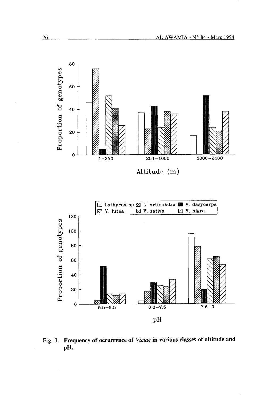

Fig. 3. Frequency of occurrence of Viciae in various classes of altitude and pH.